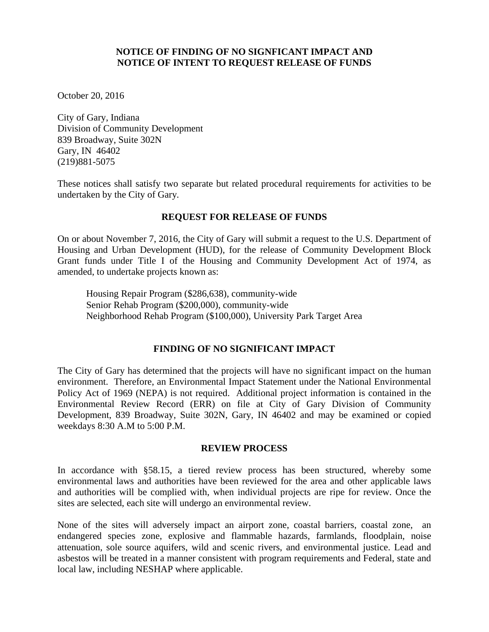### **NOTICE OF FINDING OF NO SIGNFICANT IMPACT AND NOTICE OF INTENT TO REQUEST RELEASE OF FUNDS**

October 20, 2016

City of Gary, Indiana Division of Community Development 839 Broadway, Suite 302N Gary, IN 46402 (219)881-5075

These notices shall satisfy two separate but related procedural requirements for activities to be undertaken by the City of Gary*.*

## **REQUEST FOR RELEASE OF FUNDS**

On or about November 7, 2016, the City of Gary will submit a request to the U.S. Department of Housing and Urban Development (HUD), for the release of Community Development Block Grant funds under Title I of the Housing and Community Development Act of 1974, as amended, to undertake projects known as:

Housing Repair Program (\$286,638), community-wide Senior Rehab Program (\$200,000), community-wide Neighborhood Rehab Program (\$100,000), University Park Target Area

# **FINDING OF NO SIGNIFICANT IMPACT**

The City of Gary has determined that the projects will have no significant impact on the human environment. Therefore, an Environmental Impact Statement under the National Environmental Policy Act of 1969 (NEPA) is not required. Additional project information is contained in the Environmental Review Record (ERR) on file at City of Gary Division of Community Development, 839 Broadway, Suite 302N, Gary, IN 46402 and may be examined or copied weekdays 8:30 A.M to 5:00 P.M.

### **REVIEW PROCESS**

In accordance with §58.15, a tiered review process has been structured, whereby some environmental laws and authorities have been reviewed for the area and other applicable laws and authorities will be complied with, when individual projects are ripe for review. Once the sites are selected, each site will undergo an environmental review.

None of the sites will adversely impact an airport zone, coastal barriers, coastal zone, an endangered species zone, explosive and flammable hazards, farmlands, floodplain, noise attenuation, sole source aquifers, wild and scenic rivers, and environmental justice. Lead and asbestos will be treated in a manner consistent with program requirements and Federal, state and local law, including NESHAP where applicable.